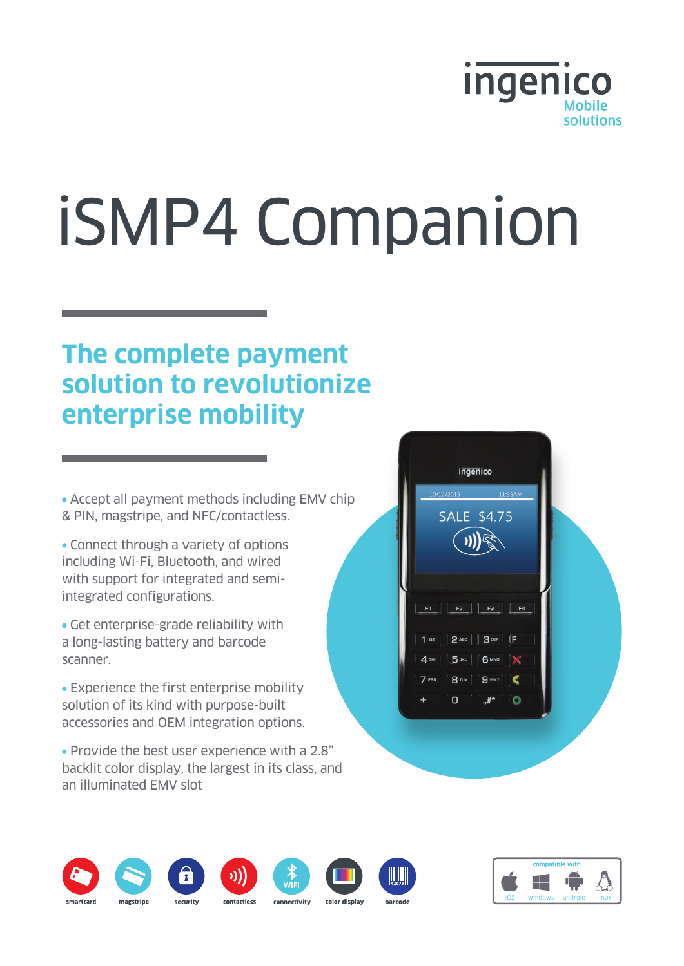

# iSMP4 Companion

# **The complete payment solution to revolutionize enterprise mobility**

• Accept all payment methods including EMV chip & PIN, magstripe, and NFC/contactless.

- Connect through a variety of options including Wi-Fi, Bluetooth, and wired with support for integrated and semiintegrated configurations.
- Get enterprise-grade reliability with a long-lasting battery and barcode scanner.
- Experience the first enterprise mobility solution of its kind with purpose-built accessories and OEM integration options.
- Provide the best user experience with a 2.8" backlit color display, the largest in its class, and an illuminated EMV slot